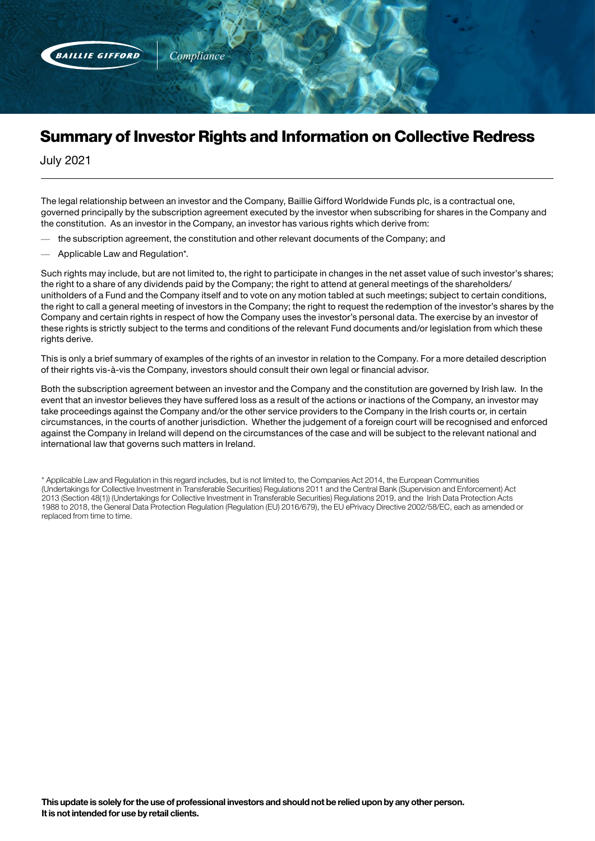

## Summary of Investor Rights and Information on Collective Redress

July 2021

The legal relationship between an investor and the Company, Baillie Gifford Worldwide Funds plc, is a contractual one, governed principally by the subscription agreement executed by the investor when subscribing for shares in the Company and the constitution. As an investor in the Company, an investor has various rights which derive from:

- the subscription agreement, the constitution and other relevant documents of the Company; and
- Applicable Law and Regulation\*.

Such rights may include, but are not limited to, the right to participate in changes in the net asset value of such investor's shares; the right to a share of any dividends paid by the Company; the right to attend at general meetings of the shareholders/ unitholders of a Fund and the Company itself and to vote on any motion tabled at such meetings; subject to certain conditions, the right to call a general meeting of investors in the Company; the right to request the redemption of the investor's shares by the Company and certain rights in respect of how the Company uses the investor's personal data. The exercise by an investor of these rights is strictly subject to the terms and conditions of the relevant Fund documents and/or legislation from which these rights derive.

This is only a brief summary of examples of the rights of an investor in relation to the Company. For a more detailed description of their rights vis-à-vis the Company, investors should consult their own legal or financial advisor.

Both the subscription agreement between an investor and the Company and the constitution are governed by Irish law. In the event that an investor believes they have suffered loss as a result of the actions or inactions of the Company, an investor may take proceedings against the Company and/or the other service providers to the Company in the Irish courts or, in certain circumstances, in the courts of another jurisdiction. Whether the judgement of a foreign court will be recognised and enforced against the Company in Ireland will depend on the circumstances of the case and will be subject to the relevant national and international law that governs such matters in Ireland.

\* Applicable Law and Regulation in this regard includes, but is not limited to, the Companies Act 2014, the European Communities (Undertakings for Collective Investment in Transferable Securities) Regulations 2011 and the Central Bank (Supervision and Enforcement) Act 2013 (Section 48(1)) (Undertakings for Collective Investment in Transferable Securities) Regulations 2019, and the Irish Data Protection Acts 1988 to 2018, the General Data Protection Regulation (Regulation (EU) 2016/679), the EU ePrivacy Directive 2002/58/EC, each as amended or replaced from time to time.